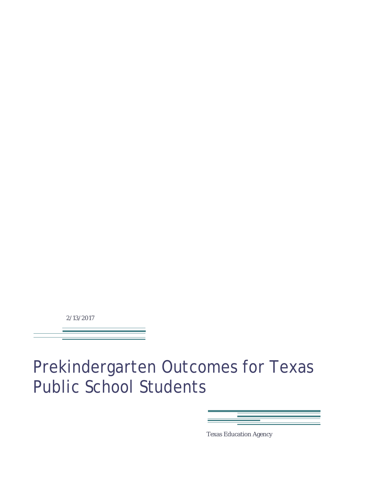2/13/2017

Prekindergarten Outcomes for Texas Public School Students



Texas Education Agency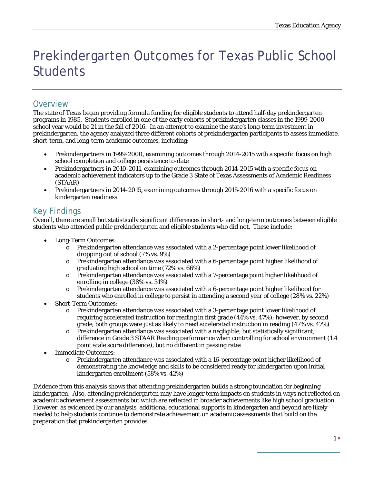# Prekindergarten Outcomes for Texas Public School **Students**

# **Overview**

The state of Texas began providing formula funding for eligible students to attend half-day prekindergarten programs in 1985. Students enrolled in one of the early cohorts of prekindergarten classes in the 1999-2000 school year would be 21 in the fall of 2016. In an attempt to examine the state's long-term investment in prekindergarten, the agency analyzed three different cohorts of prekindergarten participants to assess immediate, short-term, and long-term academic outcomes, including:

- Prekindergartners in 1999-2000, examining outcomes through 2014-2015 with a specific focus on high school completion and college persistence to-date
- Prekindergartners in 2010-2011, examining outcomes through 2014-2015 with a specific focus on academic achievement indicators up to the Grade 3 State of Texas Assessments of Academic Readiness (STAAR)
- Prekindergartners in 2014-2015, examining outcomes through 2015-2016 with a specific focus on kindergarten readiness

# Key Findings

Overall, there are small but statistically significant differences in short- and long-term outcomes between eligible students who attended public prekindergarten and eligible students who did not. These include:

- Long-Term Outcomes:
	- o Prekindergarten attendance was associated with a 2-percentage point lower likelihood of dropping out of school (7% vs. 9%)
	- o Prekindergarten attendance was associated with a 6-percentage point higher likelihood of graduating high school on time (72% vs. 66%)
	- o Prekindergarten attendance was associated with a 7-percentage point higher likelihood of enrolling in college (38% vs. 31%)
	- o Prekindergarten attendance was associated with a 6-percentage point higher likelihood for students who enrolled in college to persist in attending a second year of college (28% vs. 22%)
- Short-Term Outcomes:
	- o Prekindergarten attendance was associated with a 3-percentage point lower likelihood of requiring accelerated instruction for reading in first grade (44% vs. 47%); however, by second grade, both groups were just as likely to need accelerated instruction in reading (47% vs. 47%)
	- o Prekindergarten attendance was associated with a negligible, but statistically significant, difference in Grade 3 STAAR Reading performance when controlling for school environment (1.4 point scale score difference), but no different in passing rates
- Immediate Outcomes:
	- o Prekindergarten attendance was associated with a 16-percentage point higher likelihood of demonstrating the knowledge and skills to be considered ready for kindergarten upon initial kindergarten enrollment (58% vs. 42%)

Evidence from this analysis shows that attending prekindergarten builds a strong foundation for beginning kindergarten. Also, attending prekindergarten may have longer term impacts on students in ways not reflected on academic achievement assessments but which are reflected in broader achievements like high school graduation. However, as evidenced by our analysis, additional educational supports in kindergarten and beyond are likely needed to help students continue to demonstrate achievement on academic assessments that build on the preparation that prekindergarten provides.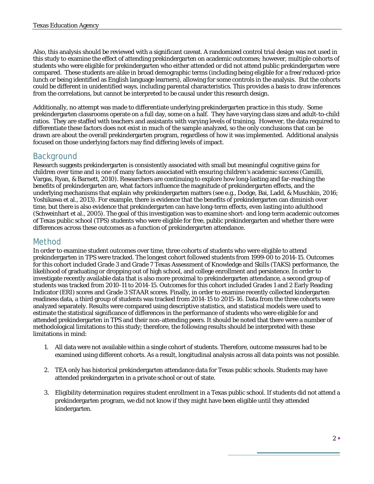Also, this analysis should be reviewed with a significant caveat. A randomized control trial design was not used in this study to examine the effect of attending prekindergarten on academic outcomes; however, multiple cohorts of students who were eligible for prekindergarten who either attended or did not attend public prekindergarten were compared. These students are alike in broad demographic terms (including being eligible for a free/reduced-price lunch or being identified as English language learners), allowing for some controls in the analysis. But the cohorts could be different in unidentified ways, including parental characteristics. This provides a basis to draw inferences from the correlations, but cannot be interpreted to be causal under this research design.

Additionally, no attempt was made to differentiate underlying prekindergarten practice in this study. Some prekindergarten classrooms operate on a full day, some on a half. They have varying class sizes and adult-to-child ratios. They are staffed with teachers and assistants with varying levels of training. However, the data required to differentiate these factors does not exist in much of the sample analyzed, so the only conclusions that can be drawn are about the overall prekindergarten program, regardless of how it was implemented. Additional analysis focused on those underlying factors may find differing levels of impact.

# Background

Research suggests prekindergarten is consistently associated with small but meaningful cognitive gains for children over time and is one of many factors associated with ensuring children's academic success (Camilli, Vargas, Ryan, & Barnett, 2010). Researchers are continuing to explore how long-lasting and far-reaching the benefits of prekindergarten are, what factors influence the magnitude of prekindergarten effects, and the underlying mechanisms that explain why prekindergarten matters (see e.g., Dodge, Bai, Ladd, & Muschkin, 2016; Yoshikawa et al., 2013). For example, there is evidence that the benefits of prekindergarten can diminish over time, but there is also evidence that prekindergarten can have long-term effects, even lasting into adulthood (Schweinhart et al., 2005). The goal of this investigation was to examine short- and long-term academic outcomes of Texas public school (TPS) students who were eligible for free, public prekindergarten and whether there were differences across these outcomes as a function of prekindergarten attendance.

### Method

In order to examine student outcomes over time, three cohorts of students who were eligible to attend prekindergarten in TPS were tracked. The longest cohort followed students from 1999-00 to 2014-15. Outcomes for this cohort included Grade 3 and Grade 7 Texas Assessment of Knowledge and Skills (TAKS) performance, the likelihood of graduating or dropping out of high school, and college enrollment and persistence. In order to investigate recently available data that is also more proximal to prekindergarten attendance, a second group of students was tracked from 2010-11 to 2014-15. Outcomes for this cohort included Grades 1 and 2 Early Reading Indicator (ERI) scores and Grade 3 STAAR scores. Finally, in order to examine recently collected kindergarten readiness data, a third group of students was tracked from 2014-15 to 2015-16. Data from the three cohorts were analyzed separately. Results were compared using descriptive statistics, and statistical models were used to estimate the statistical significance of differences in the performance of students who were eligible for and attended prekindergarten in TPS and their non-attending peers. It should be noted that there were a number of methodological limitations to this study; therefore, the following results should be interpreted with these limitations in mind:

- 1. All data were not available within a single cohort of students. Therefore, outcome measures had to be examined using different cohorts. As a result, longitudinal analysis across all data points was not possible.
- 2. TEA only has historical prekindergarten attendance data for Texas public schools. Students may have attended prekindergarten in a private school or out of state.
- 3. Eligibility determination requires student enrollment in a Texas public school. If students did not attend a prekindergarten program, we did not know if they might have been eligible until they attended kindergarten.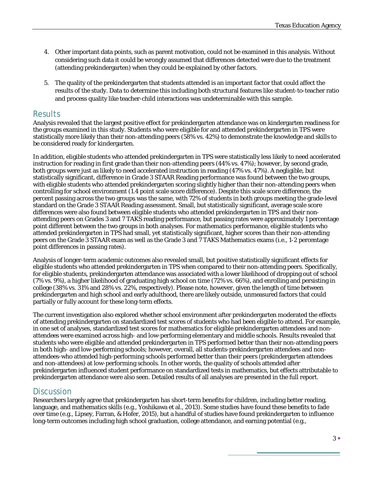- 4. Other important data points, such as parent motivation, could not be examined in this analysis. Without considering such data it could be wrongly assumed that differences detected were due to the treatment (attending prekindergarten) when they could be explained by other factors.
- 5. The quality of the prekindergarten that students attended is an important factor that could affect the results of the study. Data to determine this including both structural features like student-to-teacher ratio and process quality like teacher-child interactions was undeterminable with this sample.

### **Results**

Analysis revealed that the largest positive effect for prekindergarten attendance was on kindergarten readiness for the groups examined in this study. Students who were eligible for and attended prekindergarten in TPS were statistically more likely than their non-attending peers (58% vs. 42%) to demonstrate the knowledge and skills to be considered ready for kindergarten.

In addition, eligible students who attended prekindergarten in TPS were statistically less likely to need accelerated instruction for reading in first grade than their non-attending peers (44% vs. 47%); however, by second grade, both groups were just as likely to need accelerated instruction in reading (47% vs. 47%). A negligible, but statistically significant, difference in Grade 3 STAAR Reading performance was found between the two groups, with eligible students who attended prekindergarten scoring slightly higher than their non-attending peers when controlling for school environment (1.4 point scale score difference). Despite this scale score difference, the percent passing across the two groups was the same, with 72% of students in both groups meeting the grade-level standard on the Grade 3 STAAR Reading assessment. Small, but statistically significant, average scale score differences were also found between eligible students who attended prekindergarten in TPS and their nonattending peers on Grades 3 and 7 TAKS reading performance, but passing rates were approximately 1 percentage point different between the two groups in both analyses. For mathematics performance, eligible students who attended prekindergarten in TPS had small, yet statistically significant, higher scores than their non-attending peers on the Grade 3 STAAR exam as well as the Grade 3 and 7 TAKS Mathematics exams (i.e., 1-2 percentage point differences in passing rates).

Analysis of longer-term academic outcomes also revealed small, but positive statistically significant effects for eligible students who attended prekindergarten in TPS when compared to their non-attending peers. Specifically, for eligible students, prekindergarten attendance was associated with a lower likelihood of dropping out of school (7% vs. 9%), a higher likelihood of graduating high school on time (72% vs. 66%), and enrolling and persisting in college (38% vs. 31% and 28% vs. 22%, respectively). Please note, however, given the length of time between prekindergarten and high school and early adulthood, there are likely outside, unmeasured factors that could partially or fully account for these long-term effects.

The current investigation also explored whether school environment after prekindergarten moderated the effects of attending prekindergarten on standardized test scores of students who had been eligible to attend. For example, in one set of analyses, standardized test scores for mathematics for eligible prekindergarten attendees and nonattendees were examined across high- and low-performing elementary and middle schools. Results revealed that students who were eligible and attended prekindergarten in TPS performed better than their non-attending peers in both high- and low-performing schools; however, overall, all students-prekindergarten attendees and nonattendees-who attended high-performing schools performed better than their peers (prekindergarten attendees and non-attendees) at low-performing schools. In other words, the quality of schools attended after prekindergarten influenced student performance on standardized tests in mathematics, but effects attributable to prekindergarten attendance were also seen. Detailed results of all analyses are presented in the full report.

### **Discussion**

Researchers largely agree that prekindergarten has short-term benefits for children, including better reading, language, and mathematics skills (e.g., Yoshikawa et al., 2013). Some studies have found these benefits to fade over time (e.g., Lipsey, Farran, & Hofer, 2015), but a handful of studies have found prekindergarten to influence long-term outcomes including high school graduation, college attendance, and earning potential (e.g.,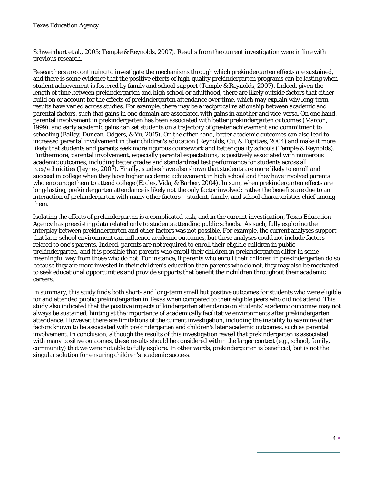Schweinhart et al., 2005; Temple & Reynolds, 2007). Results from the current investigation were in line with previous research.

Researchers are continuing to investigate the mechanisms through which prekindergarten effects are sustained, and there is some evidence that the positive effects of high-quality prekindergarten programs can be lasting when student achievement is fostered by family and school support (Temple & Reynolds, 2007). Indeed, given the length of time between prekindergarten and high school or adulthood, there are likely outside factors that either build on or account for the effects of prekindergarten attendance over time, which may explain why long-term results have varied across studies. For example, there may be a reciprocal relationship between academic and parental factors, such that gains in one domain are associated with gains in another and vice-versa. On one hand, parental involvement in prekindergarten has been associated with better prekindergarten outcomes (Marcon, 1999), and early academic gains can set students on a trajectory of greater achievement and commitment to schooling (Bailey, Duncan, Odgers, & Yu, 2015). On the other hand, better academic outcomes can also lead to increased parental involvement in their children's education (Reynolds, Ou, & Topitzes, 2004) and make it more likely that students and parents seek more rigorous coursework and better quality schools (Temple & Reynolds). Furthermore, parental involvement, especially parental expectations, is positively associated with numerous academic outcomes, including better grades and standardized test performance for students across all race/ethnicities (Jeynes, 2007). Finally, studies have also shown that students are more likely to enroll and succeed in college when they have higher academic achievement in high school and they have involved parents who encourage them to attend college (Eccles, Vida, & Barber, 2004). In sum, when prekindergarten effects are long-lasting, prekindergarten attendance is likely not the only factor involved; rather the benefits are due to an interaction of prekindergarten with many other factors – student, family, and school characteristics chief among them.

Isolating the effects of prekindergarten is a complicated task, and in the current investigation, Texas Education Agency has preexisting data related only to students attending public schools. As such, fully exploring the interplay between prekindergarten and other factors was not possible. For example, the current analyses support that later school environment can influence academic outcomes, but these analyses could not include factors related to one's parents. Indeed, parents are not required to enroll their eligible children in public prekindergarten, and it is possible that parents who enroll their children in prekindergarten differ in some meaningful way from those who do not. For instance, if parents who enroll their children in prekindergarten do so because they are more invested in their children's education than parents who do not, they may also be motivated to seek educational opportunities and provide supports that benefit their children throughout their academic careers.

In summary, this study finds both short- and long-term small but positive outcomes for students who were eligible for and attended public prekindergarten in Texas when compared to their eligible peers who did not attend. This study also indicated that the positive impacts of kindergarten attendance on students' academic outcomes may not always be sustained, hinting at the importance of academically facilitative environments after prekindergarten attendance. However, there are limitations of the current investigation, including the inability to examine other factors known to be associated with prekindergarten and children's later academic outcomes, such as parental involvement. In conclusion, although the results of this investigation reveal that prekindergarten is associated with many positive outcomes, these results should be considered within the larger context (e.g., school, family, community) that we were not able to fully explore. In other words, prekindergarten is beneficial, but is not the singular solution for ensuring children's academic success.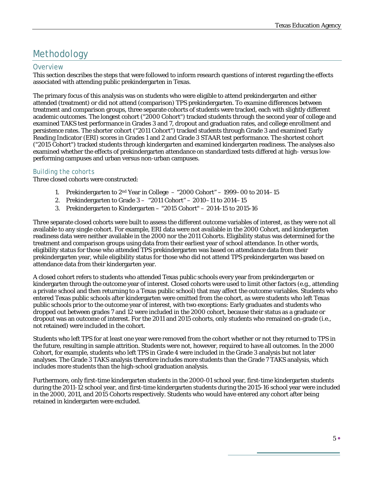# Methodology

#### **Overview**

This section describes the steps that were followed to inform research questions of interest regarding the effects associated with attending public prekindergarten in Texas.

The primary focus of this analysis was on students who were eligible to attend prekindergarten and either attended (treatment) or did not attend (comparison) TPS prekindergarten. To examine differences between treatment and comparison groups, three separate cohorts of students were tracked, each with slightly different academic outcomes. The longest cohort ("2000 Cohort") tracked students through the second year of college and examined TAKS test performance in Grades 3 and 7, dropout and graduation rates, and college enrollment and persistence rates. The shorter cohort ("2011 Cohort") tracked students through Grade 3 and examined Early Reading Indicator (ERI) scores in Grades 1 and 2 and Grade 3 STAAR test performance. The shortest cohort ("2015 Cohort") tracked students through kindergarten and examined kindergarten readiness. The analyses also examined whether the effects of prekindergarten attendance on standardized tests differed at high- versus lowperforming campuses and urban versus non-urban campuses.

#### *Building the cohorts*

Three closed cohorts were constructed:

- 1. Prekindergarten to  $2<sup>nd</sup>$  Year in College  $-$  "2000 Cohort" 1999–00 to 2014–15
- 2. Prekindergarten to Grade 3 "2011 Cohort" 2010–11 to 2014–15
- 3. Prekindergarten to Kindergarten "2015 Cohort" 2014-15 to 2015-16

Three separate closed cohorts were built to assess the different outcome variables of interest, as they were not all available to any single cohort. For example, ERI data were not available in the 2000 Cohort, and kindergarten readiness data were neither available in the 2000 nor the 2011 Cohorts. Eligibility status was determined for the treatment and comparison groups using data from their earliest year of school attendance. In other words, eligibility status for those who attended TPS prekindergarten was based on attendance data from their prekindergarten year, while eligibility status for those who did not attend TPS prekindergarten was based on attendance data from their kindergarten year.

A closed cohort refers to students who attended Texas public schools every year from prekindergarten or kindergarten through the outcome year of interest. Closed cohorts were used to limit other factors (e.g., attending a private school and then returning to a Texas public school) that may affect the outcome variables. Students who entered Texas public schools after kindergarten were omitted from the cohort, as were students who left Texas public schools prior to the outcome year of interest, with two exceptions: Early graduates and students who dropped out between grades 7 and 12 were included in the 2000 cohort, because their status as a graduate or dropout was an outcome of interest. For the 2011 and 2015 cohorts, only students who remained on-grade (i.e., not retained) were included in the cohort.

Students who left TPS for at least one year were removed from the cohort whether or not they returned to TPS in the future, resulting in sample attrition. Students were not, however, required to have all outcomes. In the 2000 Cohort, for example, students who left TPS in Grade 4 were included in the Grade 3 analysis but not later analyses. The Grade 3 TAKS analysis therefore includes more students than the Grade 7 TAKS analysis, which includes more students than the high-school graduation analysis.

Furthermore, only first-time kindergarten students in the 2000-01 school year, first-time kindergarten students during the 2011-12 school year, and first-time kindergarten students during the 2015-16 school year were included in the 2000, 2011, and 2015 Cohorts respectively. Students who would have entered any cohort after being retained in kindergarten were excluded.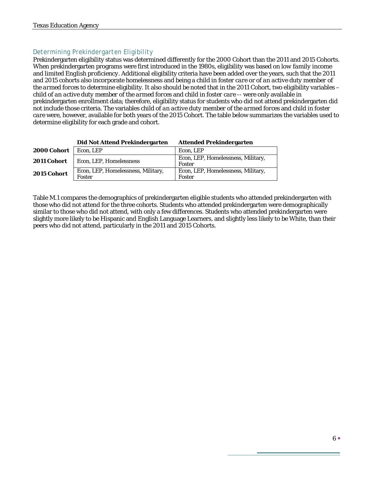#### *Determining Prekindergarten Eligibility*

Prekindergarten eligibility status was determined differently for the 2000 Cohort than the 2011 and 2015 Cohorts. When prekindergarten programs were first introduced in the 1980s, eligibility was based on *low family income* and *limited English proficiency*. Additional eligibility criteria have been added over the years, such that the 2011 and 2015 cohorts also incorporate *homelessness* and being a child *in foster care* or *of an active duty member of the armed forces* to determine eligibility. It also should be noted that in the 2011 Cohort, two eligibility variables – *child of an active duty member of the armed forces* and *child in foster care --* were only available in prekindergarten enrollment data; therefore, eligibility status for students who did not attend prekindergarten did not include those criteria. The variables *child of an active duty member of the armed forces* and *child in foster care* were, however, available for both years of the 2015 Cohort. The table below summarizes the variables used to determine eligibility for each grade and cohort.

|             | Did Not Attend Prekindergarten               | Attended Prekindergarten                     |
|-------------|----------------------------------------------|----------------------------------------------|
| 2000 Cohort | Econ, LEP                                    | Econ, LEP                                    |
| 2011 Cohort | Econ, LEP, Homelessness                      | Econ, LEP, Homelessness, Military,<br>Foster |
| 2015 Cohort | Econ, LEP, Homelessness, Military,<br>Foster | Econ, LEP, Homelessness, Military,<br>Foster |

#### **Did Not Attend Prekindergarten Attended Prekindergarten**

Table M.1 compares the demographics of prekindergarten eligible students who attended prekindergarten with those who did not attend for the three cohorts. Students who attended prekindergarten were demographically similar to those who did not attend, with only a few differences. Students who attended prekindergarten were slightly more likely to be Hispanic and English Language Learners, and slightly less likely to be White, than their peers who did not attend, particularly in the 2011 and 2015 Cohorts.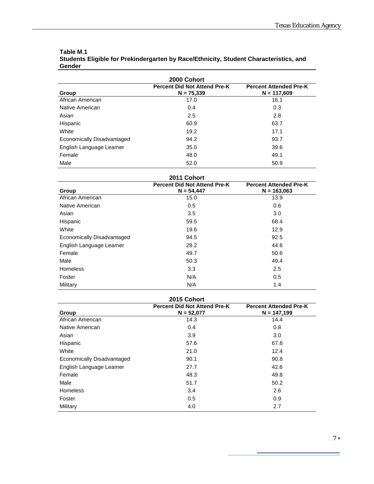| 2000 Cohort                                                                                                    |      |      |  |  |  |  |  |
|----------------------------------------------------------------------------------------------------------------|------|------|--|--|--|--|--|
| <b>Percent Did Not Attend Pre-K</b><br><b>Percent Attended Pre-K</b><br>$N = 75.339$<br>$N = 117,609$<br>Group |      |      |  |  |  |  |  |
| African American                                                                                               | 17.0 | 16.1 |  |  |  |  |  |
| Native American                                                                                                | 0.4  | 0.3  |  |  |  |  |  |
| Asian                                                                                                          | 2.5  | 2.8  |  |  |  |  |  |
| Hispanic                                                                                                       | 60.9 | 63.7 |  |  |  |  |  |
| White                                                                                                          | 19.2 | 17.1 |  |  |  |  |  |
| Economically Disadvantaged                                                                                     | 94.2 | 93.7 |  |  |  |  |  |
| English Language Learner                                                                                       | 35.0 | 39.6 |  |  |  |  |  |
| Female                                                                                                         | 48.0 | 49.1 |  |  |  |  |  |
| Male                                                                                                           | 52.0 | 50.9 |  |  |  |  |  |

#### **Table M.1 Students Eligible for Prekindergarten by Race/Ethnicity, Student Characteristics, and Gender**

| 2011 Cohort                |                                                     |                                                |  |  |  |  |  |
|----------------------------|-----------------------------------------------------|------------------------------------------------|--|--|--|--|--|
| Group                      | <b>Percent Did Not Attend Pre-K</b><br>$N = 54,447$ | <b>Percent Attended Pre-K</b><br>$N = 163,063$ |  |  |  |  |  |
| African American           | 15.0                                                | 13.9                                           |  |  |  |  |  |
| Native American            | 0.5                                                 | 0.6                                            |  |  |  |  |  |
| Asian                      | 3.5                                                 | 3.0                                            |  |  |  |  |  |
| Hispanic                   | 59.5                                                | 68.4                                           |  |  |  |  |  |
| White                      | 19.6                                                | 12.9                                           |  |  |  |  |  |
| Economically Disadvantaged | 94.5                                                | 92.5                                           |  |  |  |  |  |
| English Language Learner   | 28.2                                                | 44.6                                           |  |  |  |  |  |
| Female                     | 49.7                                                | 50.6                                           |  |  |  |  |  |
| Male                       | 50.3                                                | 49.4                                           |  |  |  |  |  |
| <b>Homeless</b>            | 3.3                                                 | 2.5                                            |  |  |  |  |  |
| Foster                     | N/A                                                 | 0.5                                            |  |  |  |  |  |
| Military                   | N/A                                                 | 1.4                                            |  |  |  |  |  |

| 2015 Cohort                |                                                |      |  |  |  |  |  |
|----------------------------|------------------------------------------------|------|--|--|--|--|--|
| Group                      | <b>Percent Attended Pre-K</b><br>$N = 147,199$ |      |  |  |  |  |  |
| African American           | 14.3                                           | 14.4 |  |  |  |  |  |
| Native American            | 0.4                                            | 0.8  |  |  |  |  |  |
| Asian                      | 3.9                                            | 3.0  |  |  |  |  |  |
| Hispanic                   | 57.6                                           | 67.8 |  |  |  |  |  |
| White                      | 21.0                                           | 12.4 |  |  |  |  |  |
| Economically Disadvantaged | 90.1                                           | 90.8 |  |  |  |  |  |
| English Language Learner   | 27.7                                           | 42.6 |  |  |  |  |  |
| Female                     | 48.3                                           | 49.8 |  |  |  |  |  |
| Male                       | 51.7                                           | 50.2 |  |  |  |  |  |
| <b>Homeless</b>            | 3.4                                            | 2.6  |  |  |  |  |  |
| Foster                     | 0.5                                            | 0.9  |  |  |  |  |  |
| Military                   | 4.0                                            | 2.7  |  |  |  |  |  |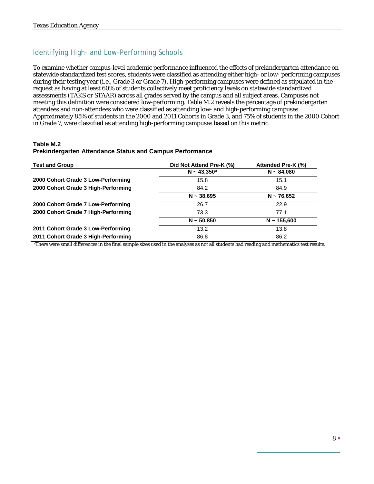### Identifying High- and Low-Performing Schools

To examine whether campus-level academic performance influenced the effects of prekindergarten attendance on statewide standardized test scores, students were classified as attending either high- or low- performing campuses during their testing year (i.e., Grade 3 or Grade 7). High-performing campuses were defined as stipulated in the request as having at least 60% of students collectively meet proficiency levels on statewide standardized assessments (TAKS or STAAR) across all grades served by the campus and all subject areas. Campuses not meeting this definition were considered low-performing. Table M.2 reveals the percentage of prekindergarten attendees and non-attendees who were classified as attending low- and high-performing campuses. Approximately 85% of students in the 2000 and 2011 Cohorts in Grade 3, and 75% of students in the 2000 Cohort in Grade 7, were classified as attending high-performing campuses based on this metric.

#### **Table M.2**

#### **Prekindergarten Attendance Status and Campus Performance**

| <b>Test and Group</b>               | Did Not Attend Pre-K (%) | Attended Pre-K (%) |
|-------------------------------------|--------------------------|--------------------|
|                                     | $N \sim 43,350^{\circ}$  | $N \sim 84,080$    |
| 2000 Cohort Grade 3 Low-Performing  | 15.8                     | 15.1               |
| 2000 Cohort Grade 3 High-Performing | 84.2                     | 84.9               |
|                                     | $N \sim 38,695$          | $N \sim 76,652$    |
| 2000 Cohort Grade 7 Low-Performing  | 26.7                     | 22.9               |
| 2000 Cohort Grade 7 High-Performing | 73.3                     | 77.1               |
|                                     | $N \sim 50,850$          | $N \sim 155,600$   |
| 2011 Cohort Grade 3 Low-Performing  | 13.2                     | 13.8               |
| 2011 Cohort Grade 3 High-Performing | 86.8                     | 86.2               |

aThere were small differences in the final sample sizes used in the analyses as not all students had reading and mathematics test results.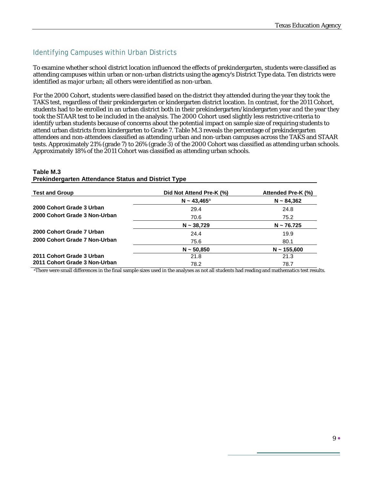### Identifying Campuses within Urban Districts

To examine whether school district location influenced the effects of prekindergarten, students were classified as attending campuses within urban or non-urban districts using the agency's District Type data. Ten districts were identified as *major urban*; all others were identified as non-urban.

For the 2000 Cohort, students were classified based on the district they attended during the year they took the TAKS test, regardless of their prekindergarten or kindergarten district location. In contrast, for the 2011 Cohort, students had to be enrolled in an urban district both in their prekindergarten/kindergarten year *and* the year they took the STAAR test to be included in the analysis. The 2000 Cohort used slightly less restrictive criteria to identify urban students because of concerns about the potential impact on sample size of requiring students to attend urban districts from kindergarten to Grade 7. Table M.3 reveals the percentage of prekindergarten attendees and non-attendees classified as attending urban and non-urban campuses across the TAKS and STAAR tests. Approximately 21% (grade 7) to 26% (grade 3) of the 2000 Cohort was classified as attending urban schools. Approximately 18% of the 2011 Cohort was classified as attending urban schools.

#### **Table M.3 Prekindergarten Attendance Status and District Type**

| <b>Test and Group</b>         | Did Not Attend Pre-K (%) | Attended Pre-K (%) |
|-------------------------------|--------------------------|--------------------|
|                               | $N \sim 43,465^{\circ}$  | $N \sim 84,362$    |
| 2000 Cohort Grade 3 Urban     | 29.4                     | 24.8               |
| 2000 Cohort Grade 3 Non-Urban | 70.6                     | 75.2               |
|                               | $N \sim 38,729$          | $N \sim 76.725$    |
| 2000 Cohort Grade 7 Urban     | 24.4                     | 19.9               |
| 2000 Cohort Grade 7 Non-Urban | 75.6                     | 80.1               |
|                               | $N \sim 50.850$          | $N \sim 155,600$   |
| 2011 Cohort Grade 3 Urban     | 21.8                     | 21.3               |
| 2011 Cohort Grade 3 Non-Urban | 78.2                     | 78.7               |

aThere were small differences in the final sample sizes used in the analyses as not all students had reading and mathematics test results.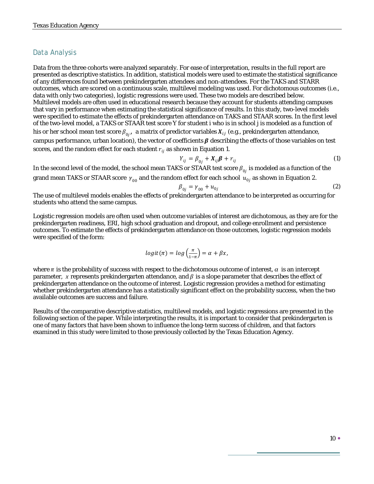### Data Analysis

Data from the three cohorts were analyzed separately. For ease of interpretation, results in the full report are presented as descriptive statistics. In addition, statistical models were used to estimate the statistical significance of any differences found between prekindergarten attendees and non-attendees. For the TAKS and STARR outcomes, which are scored on a continuous scale, multilevel modeling was used. For dichotomous outcomes (i.e., data with only two categories), logistic regressions were used. These two models are described below. Multilevel models are often used in educational research because they account for students attending campuses that vary in performance when estimating the statistical significance of results. In this study, two-level models were specified to estimate the effects of prekindergarten attendance on TAKS and STAAR scores. In the first level of the two-level model, a TAKS or STAAR test score *Y* for student *i* who is in school *j* is modeled as a function of his or her school mean test score  $\beta_{0j}$ ,  $\,$ a matrix of predictor variables  $X_{ij}$  (e.g., prekindergarten attendance, campus performance, urban location), the vector of coefficients  $\beta$  describing the effects of those variables on test scores, and the random effect for each student  $r_{ii}$  as shown in Equation 1.

$$
Y_{ij} = \beta_{0j} + X_{ij}\boldsymbol{\beta} + r_{ij}
$$
 (1)

In the second level of the model, the school mean TAKS or STAAR test score  $\beta_{0i}$  is modeled as a function of the grand mean TAKS or STAAR score  $\gamma_{00}$  and the random effect for each school  $u_{0j}$  as shown in Equation 2.

$$
\beta_{0j} = \gamma_{00} + u_{0j} \tag{2}
$$

The use of multilevel models enables the effects of prekindergarten attendance to be interpreted as occurring for students who attend the same campus.

Logistic regression models are often used when outcome variables of interest are dichotomous, as they are for the prekindergarten readiness, ERI, high school graduation and dropout, and college enrollment and persistence outcomes. To estimate the effects of prekindergarten attendance on those outcomes, logistic regression models were specified of the form:

$$
logit(\pi) = log\left(\frac{\pi}{1-\pi}\right) = \alpha + \beta x,
$$

where  $\pi$  is the probability of success with respect to the dichotomous outcome of interest,  $\alpha$  is an intercept parameter, x represents prekindergarten attendance, and  $\beta$  is a slope parameter that describes the effect of prekindergarten attendance on the outcome of interest. Logistic regression provides a method for estimating whether prekindergarten attendance has a statistically significant effect on the probability success, when the two available outcomes are success and failure.

Results of the comparative descriptive statistics, multilevel models, and logistic regressions are presented in the following section of the paper. While interpreting the results, it is important to consider that prekindergarten is one of many factors that have been shown to influence the long-term success of children, and that factors examined in this study were limited to those previously collected by the Texas Education Agency.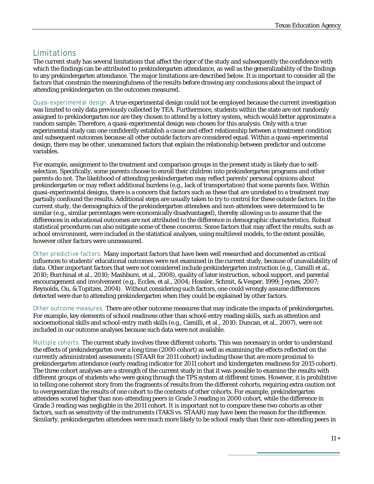### Limitations

The current study has several limitations that affect the rigor of the study and subsequently the confidence with which the findings can be attributed to prekindergarten attendance, as well as the generalizability of the findings to any prekindergarten attendance. The major limitations are described below. It is important to consider all the factors that constrain the meaningfulness of the results before drawing any conclusions about the impact of attending prekindergarten on the outcomes measured.

*Quasi-experimental design.* A true experimental design could not be employed because the current investigation was limited to only data previously collected by TEA. Furthermore, students within the state are not randomly assigned to prekindergarten nor are they chosen to attend by a lottery system, which would better approximate a random sample. Therefore, a quasi-experimental design was chosen for this analysis. Only with a true experimental study can one confidently establish a cause and effect relationship between a treatment condition and subsequent outcomes because all other outside factors are considered equal. Within a quasi-experimental design, there may be other, unexamined factors that explain the relationship between predictor and outcome variables.

For example, assignment to the treatment and comparison groups in the present study is likely due to selfselection. Specifically, some parents choose to enroll their children into prekindergarten programs and other parents do not. The likelihood of attending prekindergarten may reflect parents' personal opinions about prekindergarten or may reflect additional burdens (e.g., lack of transportation) that some parents face. Within quasi-experimental designs, there is a concern that factors such as these that are unrelated to a treatment may partially confound the results. Additional steps are usually taken to try to control for these outside factors. In the current study, the demographics of the prekindergarten attendees and non-attendees were determined to be similar (e.g., similar percentages were economically disadvantaged), thereby allowing us to assume that the differences in educational outcomes are not attributed to the difference in demographic characteristics. Robust statistical procedures can also mitigate some of these concerns. Some factors that may affect the results, such as school environment, were included in the statistical analyses, using multilevel models, to the extent possible, however other factors were unmeasured.

*Other predictive factors.* Many important factors that have been well researched and documented as critical influences to students' educational outcomes were not examined in the current study, because of unavailability of data. Other important factors that were not considered include prekindergarten instruction (e.g., Camilli et al., 2010; Burchinal et al., 2010; Mashburn, et al., 2008), quality of later instruction, school support, and parental encouragement and involvement (e.g., Eccles, et al., 2004; Hossler, Schmit, & Vesper, 1999; Jeynes, 2007; Reynolds, Ou, & Topitzes, 2004). Without considering such factors, one could wrongly assume differences detected were due to attending prekindergarten when they could be explained by other factors.

*Other outcome measures.* There are other outcome measures that may indicate the impacts of prekindergarten. For example, key elements of school readiness other than school-entry reading skills, such as attention and socioemotional skills and school-entry math skills (e.g., Camilli, et al., 2010; Duncan, et al., 2007), were not included in our outcome analyses because such data were not available.

*Multiple cohorts.* The current study involves three different cohorts. This was necessary in order to understand the effects of prekindergarten over a long time (2000 cohort) as well as examining the effects reflected on the currently administrated assessments (STAAR for 2011 cohort) including those that are more proximal to prekindergarten attendance (early reading indicator for 2011 cohort and kindergarten readiness for 2015 cohort). The three cohort analyses are a strength of the current study in that it was possible to examine the results with different groups of students who were going through the TPS system at different times. However, it is prohibitive in telling one coherent story from the fragments of results from the different cohorts, requiring extra caution not to overgeneralize the results of one cohort to the contexts of other cohorts. For example, prekindergarten attendees scored higher than non-attending peers in Grade 3 reading in 2000 cohort, while the difference in Grade 3 reading was negligible in the 2011 cohort. It is important not to compare these two cohorts as other factors, such as sensitivity of the instruments (TAKS vs. STAAR) may have been the reason for the difference. Similarly, prekindergarten attendees were much more likely to be school ready than their non-attending peers in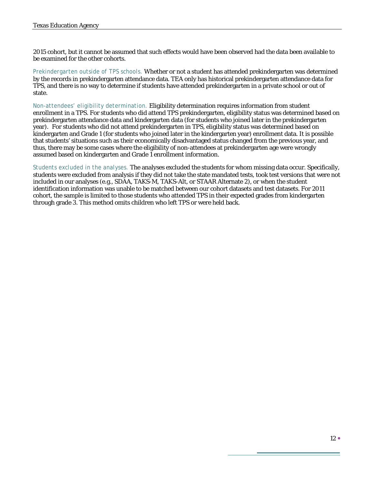2015 cohort, but it cannot be assumed that such effects would have been observed had the data been available to be examined for the other cohorts.

*Prekindergarten outside of TPS schools.* Whether or not a student has attended prekindergarten was determined by the records in prekindergarten attendance data. TEA only has historical prekindergarten attendance data for TPS, and there is no way to determine if students have attended prekindergarten in a private school or out of state.

*Non-attendees' eligibility determination.* Eligibility determination requires information from student enrollment in a TPS. For students who did attend TPS prekindergarten, eligibility status was determined based on prekindergarten attendance data and kindergarten data (for students who joined later in the prekindergarten year).For students who did not attend prekindergarten in TPS, eligibility status was determined based on kindergarten and Grade 1 (for students who joined later in the kindergarten year) enrollment data. It is possible that students' situations such as their economically disadvantaged status changed from the previous year, and thus, there may be some cases where the eligibility of non-attendees at prekindergarten age were wrongly assumed based on kindergarten and Grade 1 enrollment information.

*Students excluded in the analyses.* The analyses excluded the students for whom missing data occur. Specifically, students were excluded from analysis if they did not take the state mandated tests, took test versions that were not included in our analyses (e.g., SDAA, TAKS-M, TAKS-Alt, or STAAR Alternate 2), or when the student identification information was unable to be matched between our cohort datasets and test datasets. For 2011 cohort, the sample is limited to those students who attended TPS in their expected grades from kindergarten through grade 3. This method omits children who left TPS or were held back.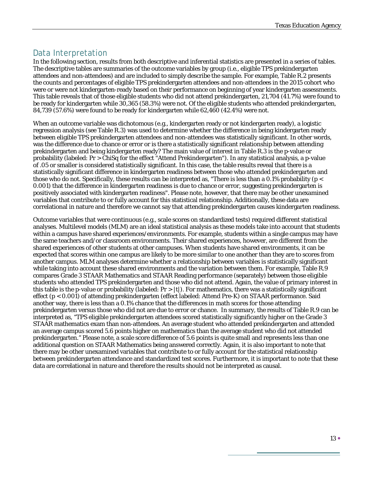### Data Interpretation

In the following section, results from both descriptive and inferential statistics are presented in a series of tables. The descriptive tables are summaries of the outcome variables by group (i.e., eligible TPS prekindergarten attendees and non-attendees) and are included to simply describe the sample. For example, Table R.2 presents the counts and percentages of eligible TPS prekindergarten attendees and non-attendees in the 2015 cohort who were or were not kindergarten-ready based on their performance on beginning of year kindergarten assessments. This table reveals that of those eligible students who did not attend prekindergarten, 21,704 (41.7%) were found to be ready for kindergarten while 30,365 (58.3%) were not. Of the eligible students who attended prekindergarten, 84,739 (57.6%) were found to be ready for kindergarten while 62,460 (42.4%) were not.

When an outcome variable was dichotomous (e.g., kindergarten ready or not kindergarten ready), a logistic regression analysis (see Table R.3) was used to determine whether the difference in being kindergarten ready between eligible TPS prekindergarten attendees and non-attendees was statistically significant. In other words, was the difference due to chance or error or is there a statistically significant relationship between attending prekindergarten and being kindergarten ready? The main value of interest in Table R.3 is the p-value or probability (labeled: Pr > ChiSq for the effect "Attend Prekindergarten"). In any statistical analysis, a p-value of .05 or smaller is considered statistically significant. In this case, the table results reveal that there is a statistically significant difference in kindergarten readiness between those who attended prekindergarten and those who do not. Specifically, these results can be interpreted as, "There is less than a 0.1% probability ( $p <$ 0.001) that the difference in kindergarten readiness is due to chance or error, suggesting prekindergarten is positively associated with kindergarten readiness". Please note, however, that there may be other unexamined variables that contribute to or fully account for this statistical relationship. Additionally, these data are correlational in nature and therefore we cannot say that attending prekindergarten causes kindergarten readiness.

Outcome variables that were continuous (e.g., scale scores on standardized tests) required different statistical analyses. Multilevel models (MLM) are an ideal statistical analysis as these models take into account that students within a campus have shared experiences/environments. For example, students within a single campus may have the same teachers and/or classroom environments. Their shared experiences, however, are different from the shared experiences of other students at other campuses. When students have shared environments, it can be expected that scores within one campus are likely to be more similar to one another than they are to scores from another campus. MLM analyses determine whether a relationship between variables is statistically significant while taking into account these shared environments and the variation between them. For example, Table R.9 compares Grade 3 STAAR Mathematics and STAAR Reading performance (separately) between those eligible students who attended TPS prekindergarten and those who did not attend. Again, the value of primary interest in this table is the p-value or probability (labeled:  $Pr > |t|$ ). For mathematics, there was a statistically significant effect (p < 0.001) of attending prekindergarten (effect labeled: Attend Pre-K) on STAAR performance. Said another way, there is less than a 0.1% chance that the differences in math scores for those attending prekindergarten versus those who did not are due to error or chance. In summary, the results of Table R.9 can be interpreted as, "TPS eligible prekindergarten attendees scored statistically significantly higher on the Grade 3 STAAR mathematics exam than non-attendees. An average student who attended prekindergarten and attended an average campus scored 5.6 points higher on mathematics than the average student who did not attended prekindergarten." Please note, a scale score difference of 5.6 points is quite small and represents less than one additional question on STAAR Mathematics being answered correctly. Again, it is also important to note that there may be other unexamined variables that contribute to or fully account for the statistical relationship between prekindergarten attendance and standardized test scores. Furthermore, it is important to note that these data are correlational in nature and therefore the results should not be interpreted as causal.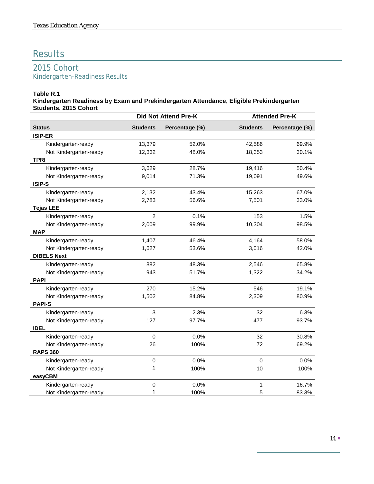# Results

### 2015 Cohort Kindergarten-Readiness Results

#### **Table R.1**

**Kindergarten Readiness by Exam and Prekindergarten Attendance, Eligible Prekindergarten Students, 2015 Cohort**

|                        | Did Not Attend Pre-K |                | <b>Attended Pre-K</b> |                |
|------------------------|----------------------|----------------|-----------------------|----------------|
| <b>Status</b>          | <b>Students</b>      | Percentage (%) | <b>Students</b>       | Percentage (%) |
| <b>ISIP-ER</b>         |                      |                |                       |                |
| Kindergarten-ready     | 13,379               | 52.0%          | 42,586                | 69.9%          |
| Not Kindergarten-ready | 12,332               | 48.0%          | 18,353                | 30.1%          |
| <b>TPRI</b>            |                      |                |                       |                |
| Kindergarten-ready     | 3,629                | 28.7%          | 19,416                | 50.4%          |
| Not Kindergarten-ready | 9,014                | 71.3%          | 19,091                | 49.6%          |
| ISIP-S                 |                      |                |                       |                |
| Kindergarten-ready     | 2,132                | 43.4%          | 15,263                | 67.0%          |
| Not Kindergarten-ready | 2,783                | 56.6%          | 7,501                 | 33.0%          |
| <b>Tejas LEE</b>       |                      |                |                       |                |
| Kindergarten-ready     | $\overline{2}$       | 0.1%           | 153                   | 1.5%           |
| Not Kindergarten-ready | 2,009                | 99.9%          | 10,304                | 98.5%          |
| <b>MAP</b>             |                      |                |                       |                |
| Kindergarten-ready     | 1,407                | 46.4%          | 4,164                 | 58.0%          |
| Not Kindergarten-ready | 1,627                | 53.6%          | 3,016                 | 42.0%          |
| <b>DIBELS Next</b>     |                      |                |                       |                |
| Kindergarten-ready     | 882                  | 48.3%          | 2,546                 | 65.8%          |
| Not Kindergarten-ready | 943                  | 51.7%          | 1,322                 | 34.2%          |
| <b>PAPI</b>            |                      |                |                       |                |
| Kindergarten-ready     | 270                  | 15.2%          | 546                   | 19.1%          |
| Not Kindergarten-ready | 1,502                | 84.8%          | 2,309                 | 80.9%          |
| <b>PAPI-S</b>          |                      |                |                       |                |
| Kindergarten-ready     | 3                    | 2.3%           | 32                    | 6.3%           |
| Not Kindergarten-ready | 127                  | 97.7%          | 477                   | 93.7%          |
| <b>IDEL</b>            |                      |                |                       |                |
| Kindergarten-ready     | $\mathbf 0$          | 0.0%           | 32                    | 30.8%          |
| Not Kindergarten-ready | 26                   | 100%           | 72                    | 69.2%          |
| <b>RAPS 360</b>        |                      |                |                       |                |
| Kindergarten-ready     | $\mathbf 0$          | 0.0%           | $\mathbf 0$           | 0.0%           |
| Not Kindergarten-ready | 1                    | 100%           | 10                    | 100%           |
| easyCBM                |                      |                |                       |                |
| Kindergarten-ready     | $\pmb{0}$            | 0.0%           | 1                     | 16.7%          |
| Not Kindergarten-ready | 1                    | 100%           | 5                     | 83.3%          |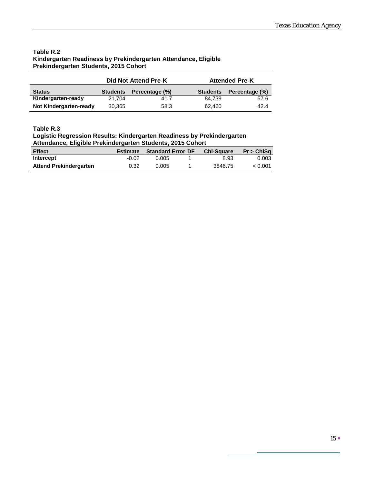#### **Table R.2 Kindergarten Readiness by Prekindergarten Attendance, Eligible Prekindergarten Students, 2015 Cohort**

|                               |                                   | Did Not Attend Pre-K |                 | <b>Attended Pre-K</b> |
|-------------------------------|-----------------------------------|----------------------|-----------------|-----------------------|
| <b>Status</b>                 | Percentage (%)<br><b>Students</b> |                      | <b>Students</b> | Percentage (%)        |
| Kindergarten-ready            | 21.704                            | 41.7                 | 84.739          | 57.6                  |
| <b>Not Kindergarten-ready</b> | 30,365                            | 58.3                 | 62.460          | 42.4                  |

#### **Table R.3**

#### **Logistic Regression Results: Kindergarten Readiness by Prekindergarten Attendance, Eligible Prekindergarten Students, 2015 Cohort**

| <b>Effect</b>                 | <b>Estimate</b> | <b>Standard Error DF</b> | <b>Chi-Square</b> | Pr > ChiSa |
|-------------------------------|-----------------|--------------------------|-------------------|------------|
| Intercept                     | $-0.02$         | 0.005                    | 8.93              | 0.003      |
| <b>Attend Prekindergarten</b> | 0.32            | 0.005                    | 3846.75           | < 0.001    |

÷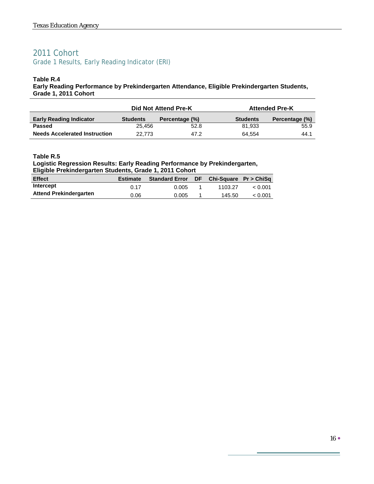### 2011 Cohort Grade 1 Results, Early Reading Indicator (ERI)

#### **Table R.4**

**Early Reading Performance by Prekindergarten Attendance, Eligible Prekindergarten Students, Grade 1, 2011 Cohort**

|                                      | Did Not Attend Pre-K |                |                 | <b>Attended Pre-K</b> |
|--------------------------------------|----------------------|----------------|-----------------|-----------------------|
| <b>Early Reading Indicator</b>       | <b>Students</b>      | Percentage (%) | <b>Students</b> | Percentage (%)        |
| <b>Passed</b>                        | 25.456               | 52.8           | 81.933          | 55.9                  |
| <b>Needs Accelerated Instruction</b> | 22.773               | 47.2           | 64.554          | 44.1                  |

#### **Table R.5**

### **Logistic Regression Results: Early Reading Performance by Prekindergarten,**

**Eligible Prekindergarten Students, Grade 1, 2011 Cohort**

| <b>Effect</b>                 | <b>Estimate</b> | <b>Standard Error</b> DF | Chi-Square $Pr > ChiSq$ |         |
|-------------------------------|-----------------|--------------------------|-------------------------|---------|
| <b>Intercept</b>              | 0.17            | 0.005                    | 1103.27                 | < 0.001 |
| <b>Attend Prekindergarten</b> | 0.06            | 0.005                    | 145.50                  | < 0.001 |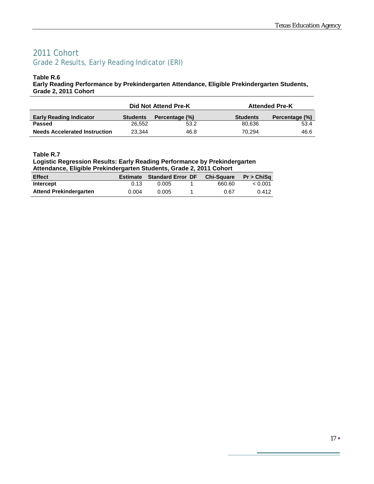# 2011 Cohort Grade 2 Results, Early Reading Indicator (ERI)

#### **Table R.6**

**Early Reading Performance by Prekindergarten Attendance, Eligible Prekindergarten Students, Grade 2, 2011 Cohort**

|                                      |                                   | Did Not Attend Pre-K |                 | <b>Attended Pre-K</b> |
|--------------------------------------|-----------------------------------|----------------------|-----------------|-----------------------|
| <b>Early Reading Indicator</b>       | Percentage (%)<br><b>Students</b> |                      | <b>Students</b> | Percentage (%)        |
| <b>Passed</b>                        | 26.552                            | 53.2                 | 80,636          | 53.4                  |
| <b>Needs Accelerated Instruction</b> | 23.344                            | 46.8                 | 70.294          | 46.6                  |

#### **Table R.7**

#### **Logistic Regression Results: Early Reading Performance by Prekindergarten Attendance, Eligible Prekindergarten Students, Grade 2, 2011 Cohort**

| <b>Effect</b>                 |       | Estimate Standard Error DF Chi-Square Pr > ChiSq |        |         |
|-------------------------------|-------|--------------------------------------------------|--------|---------|
| Intercept                     | 0.13  | 0.005                                            | 660.60 | < 0.001 |
| <b>Attend Prekindergarten</b> | 0.004 | 0.005                                            | 0.67   | 0.412   |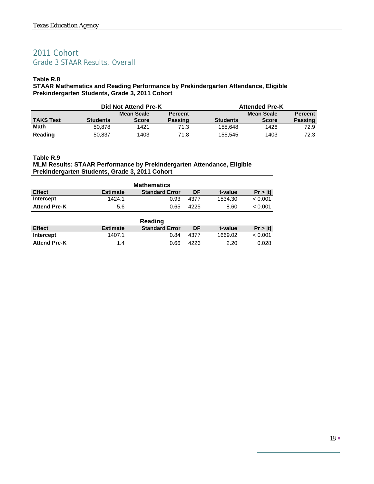# 2011 Cohort Grade 3 STAAR Results, Overall

#### **Table R.8**

**STAAR Mathematics and Reading Performance by Prekindergarten Attendance, Eligible Prekindergarten Students, Grade 3, 2011 Cohort**

|                  | Did Not Attend Pre-K |              |                | <b>Attended Pre-K</b> |              |                |  |
|------------------|----------------------|--------------|----------------|-----------------------|--------------|----------------|--|
|                  |                      | Mean Scale   | <b>Percent</b> |                       | Mean Scale   | <b>Percent</b> |  |
| <b>TAKS Test</b> | <b>Students</b>      | <b>Score</b> | <b>Passing</b> | <b>Students</b>       | <b>Score</b> | <b>Passing</b> |  |
| <b>Math</b>      | 50.878               | 1421         | 71.3           | 155,648               | 1426         | 72.9           |  |
| Reading          | 50,837               | 1403         | 71.8           | 155.545               | 1403         | 72.3           |  |

#### **Table R.9**

#### **MLM Results: STAAR Performance by Prekindergarten Attendance, Eligible Prekindergarten Students, Grade 3, 2011 Cohort**

| <b>Mathematics</b>  |                 |                       |      |         |         |  |  |  |  |
|---------------------|-----------------|-----------------------|------|---------|---------|--|--|--|--|
| <b>Effect</b>       | <b>Estimate</b> | <b>Standard Error</b> | DF   | t-value | Pr >  t |  |  |  |  |
| <b>Intercept</b>    | 1424.1          | 0.93                  | 4377 | 1534.30 | < 0.001 |  |  |  |  |
| <b>Attend Pre-K</b> | 5.6             | 0.65                  | 4225 | 8.60    | < 0.001 |  |  |  |  |

| Reading             |                 |                       |      |         |         |  |  |  |  |
|---------------------|-----------------|-----------------------|------|---------|---------|--|--|--|--|
| <b>Effect</b>       | <b>Estimate</b> | <b>Standard Error</b> | DF   | t-value | Pr >  t |  |  |  |  |
| Intercept           | 1407.1          | 0.84                  | 4377 | 1669.02 | < 0.001 |  |  |  |  |
| <b>Attend Pre-K</b> | 1.4             | 0.66                  | 4226 | 2.20    | 0.028   |  |  |  |  |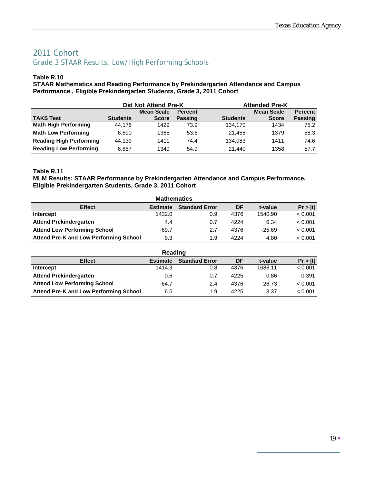# 2011 Cohort Grade 3 STAAR Results, Low/High Performing Schools

#### **Table R.10**

**STAAR Mathematics and Reading Performance by Prekindergarten Attendance and Campus Performance , Eligible Prekindergarten Students, Grade 3, 2011 Cohort**

|                                | Did Not Attend Pre-K |                   |                |                 | <b>Attended Pre-K</b> |                |  |  |
|--------------------------------|----------------------|-------------------|----------------|-----------------|-----------------------|----------------|--|--|
|                                |                      | <b>Mean Scale</b> | <b>Percent</b> |                 | <b>Mean Scale</b>     | <b>Percent</b> |  |  |
| <b>TAKS Test</b>               | <b>Students</b>      | <b>Score</b>      | <b>Passing</b> | <b>Students</b> | <b>Score</b>          | <b>Passing</b> |  |  |
| <b>Math High Performing</b>    | 44.176               | 1429              | 73.9           | 134.170         | 1434                  | 75.2           |  |  |
| <b>Math Low Performing</b>     | 6.690                | 1365              | 53.6           | 21.455          | 1379                  | 58.3           |  |  |
| <b>Reading High Performing</b> | 44.139               | 1411              | 74.4           | 134.083         | 1411                  | 74.6           |  |  |
| <b>Reading Low Performing</b>  | 6.687                | 1349              | 54.9           | 21.440          | 1358                  | 57.7           |  |  |

#### **Table R.11**

#### **MLM Results: STAAR Performance by Prekindergarten Attendance and Campus Performance, Eligible Prekindergarten Students, Grade 3, 2011 Cohort**

| <b>Mathematics</b>                            |                 |                       |      |          |         |  |  |  |  |
|-----------------------------------------------|-----------------|-----------------------|------|----------|---------|--|--|--|--|
| <b>Effect</b>                                 | <b>Estimate</b> | <b>Standard Error</b> | DF   | t-value  | Pr >  t |  |  |  |  |
| Intercept                                     | 1432.0          | 0.9                   | 4376 | 1540.90  | < 0.001 |  |  |  |  |
| <b>Attend Prekindergarten</b>                 | 4.4             | 0.7                   | 4224 | 6.34     | < 0.001 |  |  |  |  |
| <b>Attend Low Performing School</b>           | $-69.7$         | 2.7                   | 4376 | $-25.69$ | < 0.001 |  |  |  |  |
| <b>Attend Pre-K and Low Performing School</b> | 9.3             | 1.9                   | 4224 | 4.80     | < 0.001 |  |  |  |  |

| Reading                                |                 |                       |      |          |         |  |  |  |  |
|----------------------------------------|-----------------|-----------------------|------|----------|---------|--|--|--|--|
| <b>Effect</b>                          | <b>Estimate</b> | <b>Standard Error</b> | DF   | t-value  | Pr >  t |  |  |  |  |
| Intercept                              | 1414.3          | 0.8                   | 4376 | 1688.11  | < 0.001 |  |  |  |  |
| <b>Attend Prekindergarten</b>          | 0.6             | 0.7                   | 4225 | 0.86     | 0.391   |  |  |  |  |
| <b>Attend Low Performing School</b>    | $-64.7$         | 2.4                   | 4376 | $-26.73$ | < 0.001 |  |  |  |  |
| Attend Pre-K and Low Performing School | 6.5             | 1.9                   | 4225 | 3.37     | < 0.001 |  |  |  |  |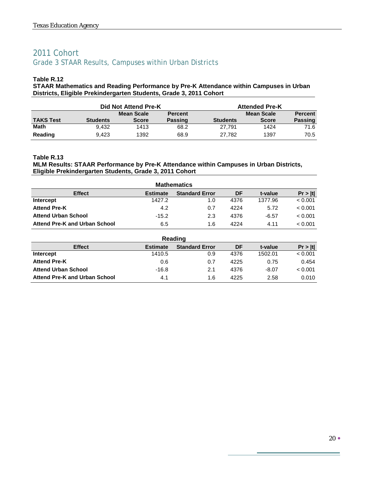# 2011 Cohort Grade 3 STAAR Results, Campuses within Urban Districts

#### **Table R.12**

**STAAR Mathematics and Reading Performance by Pre-K Attendance within Campuses in Urban Districts, Eligible Prekindergarten Students, Grade 3, 2011 Cohort**

|                  |                 | Did Not Attend Pre-K |                |                 | <b>Attended Pre-K</b> |                |
|------------------|-----------------|----------------------|----------------|-----------------|-----------------------|----------------|
|                  |                 | <b>Mean Scale</b>    | <b>Percent</b> |                 | <b>Mean Scale</b>     | <b>Percent</b> |
| <b>TAKS Test</b> | <b>Students</b> | <b>Score</b>         | <b>Passing</b> | <b>Students</b> | <b>Score</b>          | <b>Passing</b> |
| <b>Math</b>      | 9.432           | 1413                 | 68.2           | 27.791          | 1424                  | 71.6           |
| Reading          | 9.423           | 1392                 | 68.9           | 27.782          | 1397                  | 70.5           |

#### **Table R.13**

#### **MLM Results: STAAR Performance by Pre-K Attendance within Campuses in Urban Districts, Eligible Prekindergarten Students, Grade 3, 2011 Cohort**

| <b>Mathematics</b>                   |                 |                       |      |         |         |  |  |  |  |
|--------------------------------------|-----------------|-----------------------|------|---------|---------|--|--|--|--|
| <b>Effect</b>                        | <b>Estimate</b> | <b>Standard Error</b> | DF   | t-value | Pr >  t |  |  |  |  |
| Intercept                            | 1427.2          | 1.0                   | 4376 | 1377.96 | < 0.001 |  |  |  |  |
| <b>Attend Pre-K</b>                  | 4.2             | 0.7                   | 4224 | 5.72    | < 0.001 |  |  |  |  |
| <b>Attend Urban School</b>           | $-15.2$         | 2.3                   | 4376 | $-6.57$ | < 0.001 |  |  |  |  |
| <b>Attend Pre-K and Urban School</b> | 6.5             | 1.6                   | 4224 | 4.11    | < 0.001 |  |  |  |  |

| Reading                       |                 |                       |      |         |         |  |  |  |  |
|-------------------------------|-----------------|-----------------------|------|---------|---------|--|--|--|--|
| <b>Effect</b>                 | <b>Estimate</b> | <b>Standard Error</b> | DF   | t-value | Pr >  t |  |  |  |  |
| Intercept                     | 1410.5          | 0.9                   | 4376 | 1502.01 | < 0.001 |  |  |  |  |
| <b>Attend Pre-K</b>           | 0.6             | 0.7                   | 4225 | 0.75    | 0.454   |  |  |  |  |
| <b>Attend Urban School</b>    | $-16.8$         | 2.1                   | 4376 | $-8.07$ | < 0.001 |  |  |  |  |
| Attend Pre-K and Urban School | 4.1             | 1.6                   | 4225 | 2.58    | 0.010   |  |  |  |  |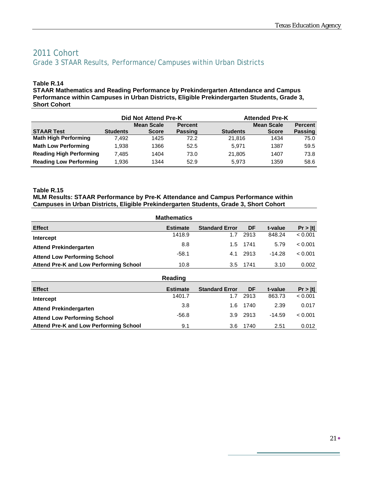### 2011 Cohort Grade 3 STAAR Results, Performance/Campuses within Urban Districts

#### **Table R.14**

**STAAR Mathematics and Reading Performance by Prekindergarten Attendance and Campus Performance within Campuses in Urban Districts, Eligible Prekindergarten Students, Grade 3, Short Cohort**

|                                | Did Not Attend Pre-K |              |                |                 | <b>Attended Pre-K</b> |                |  |  |
|--------------------------------|----------------------|--------------|----------------|-----------------|-----------------------|----------------|--|--|
|                                |                      | Mean Scale   | <b>Percent</b> |                 | <b>Mean Scale</b>     | <b>Percent</b> |  |  |
| <b>STAAR Test</b>              | <b>Students</b>      | <b>Score</b> | <b>Passing</b> | <b>Students</b> | <b>Score</b>          | <b>Passing</b> |  |  |
| <b>Math High Performing</b>    | 7.492                | 1425         | 72.2           | 21.816          | 1434                  | 75.0           |  |  |
| <b>Math Low Performing</b>     | 1.938                | 1366         | 52.5           | 5.971           | 1387                  | 59.5           |  |  |
| <b>Reading High Performing</b> | 7.485                | 1404         | 73.0           | 21,805          | 1407                  | 73.8           |  |  |
| <b>Reading Low Performing</b>  | 1.936                | 1344         | 52.9           | 5.973           | 1359                  | 58.6           |  |  |

#### **Table R.15**

**MLM Results: STAAR Performance by Pre-K Attendance and Campus Performance within Campuses in Urban Districts, Eligible Prekindergarten Students, Grade 3, Short Cohort**

|                                        | <b>Mathematics</b> |                       |          |          |         |
|----------------------------------------|--------------------|-----------------------|----------|----------|---------|
| <b>Effect</b>                          | <b>Estimate</b>    | <b>Standard Error</b> | DF       | t-value  | Pr >  t |
| Intercept                              | 1418.9             | 1.7                   | 2913     | 848.24   | < 0.001 |
| <b>Attend Prekindergarten</b>          | 8.8                | $1.5^{\circ}$         | 1741     | 5.79     | < 0.001 |
| <b>Attend Low Performing School</b>    | $-58.1$            | 4.1                   | 2913     | $-14.28$ | < 0.001 |
| Attend Pre-K and Low Performing School | 10.8               |                       | 3.5 1741 | 3.10     | 0.002   |

|                                               | Reading         |                       |          |          |         |
|-----------------------------------------------|-----------------|-----------------------|----------|----------|---------|
| <b>Effect</b>                                 | <b>Estimate</b> | <b>Standard Error</b> | DF       | t-value  | Pr >  t |
| Intercept                                     | 1401.7          | 1.7                   | 2913     | 863.73   | < 0.001 |
| <b>Attend Prekindergarten</b>                 | 3.8             | 1.6                   | 1740     | 2.39     | 0.017   |
| <b>Attend Low Performing School</b>           | $-56.8$         |                       | 3.9 2913 | $-14.59$ | < 0.001 |
| <b>Attend Pre-K and Low Performing School</b> | 9.1             | 3.6                   | 1740     | 2.51     | 0.012   |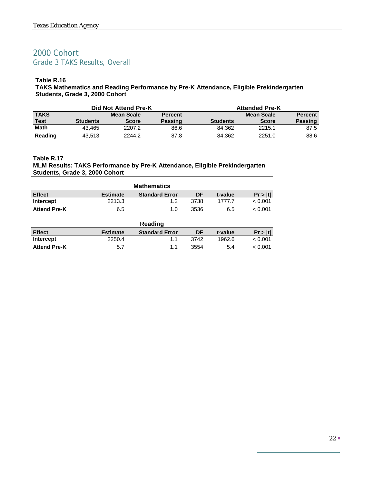# 2000 Cohort Grade 3 TAKS Results, Overall

#### **Table R.16**

**TAKS Mathematics and Reading Performance by Pre-K Attendance, Eligible Prekindergarten Students, Grade 3, 2000 Cohort**

|             |                 | Did Not Attend Pre-K |                |                 | <b>Attended Pre-K</b> |                |
|-------------|-----------------|----------------------|----------------|-----------------|-----------------------|----------------|
| <b>TAKS</b> |                 | <b>Mean Scale</b>    | <b>Percent</b> |                 | Mean Scale            | <b>Percent</b> |
| <b>Test</b> | <b>Students</b> | <b>Score</b>         | <b>Passing</b> | <b>Students</b> | <b>Score</b>          | <b>Passing</b> |
| <b>Math</b> | 43.465          | 2207.2               | 86.6           | 84.362          | 2215.1                | 87.5           |
| Reading     | 43.513          | 2244.2               | 87.8           | 84.362          | 2251.0                | 88.6           |

#### **Table R.17 MLM Results: TAKS Performance by Pre-K Attendance, Eligible Prekindergarten Students, Grade 3, 2000 Cohort**

| <b>Mathematics</b>  |                 |                       |      |         |         |  |  |
|---------------------|-----------------|-----------------------|------|---------|---------|--|--|
| <b>Effect</b>       | <b>Estimate</b> | <b>Standard Error</b> | DF   | t-value | Pr >  t |  |  |
| Intercept           | 2213.3          | 1.2                   | 3738 | 1777 7  | < 0.001 |  |  |
| <b>Attend Pre-K</b> | 6.5             | 1.0                   | 3536 | 6.5     | < 0.001 |  |  |

|                     |                 | Reading               |      |         |         |
|---------------------|-----------------|-----------------------|------|---------|---------|
| <b>Effect</b>       | <b>Estimate</b> | <b>Standard Error</b> | DF   | t-value | Pr >  t |
| Intercept           | 2250.4          |                       | 3742 | 1962.6  | < 0.001 |
| <b>Attend Pre-K</b> | 5.7             | 11                    | 3554 | 5.4     | < 0.001 |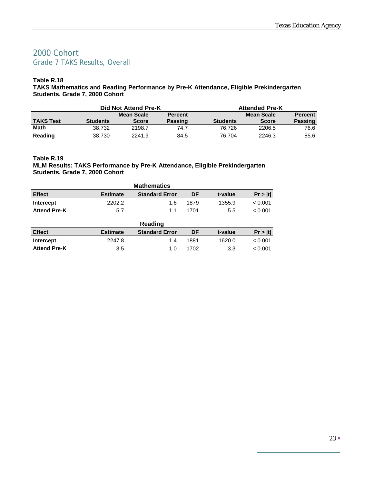### 2000 Cohort Grade 7 TAKS Results, Overall

#### **Table R.18**

**TAKS Mathematics and Reading Performance by Pre-K Attendance, Eligible Prekindergarten Students, Grade 7, 2000 Cohort**

|                  |                 | Did Not Attend Pre-K |                |                 | <b>Attended Pre-K</b> |                |
|------------------|-----------------|----------------------|----------------|-----------------|-----------------------|----------------|
|                  |                 | Mean Scale           | <b>Percent</b> |                 | Mean Scale            | <b>Percent</b> |
| <b>TAKS Test</b> | <b>Students</b> | <b>Score</b>         | <b>Passing</b> | <b>Students</b> | <b>Score</b>          | <b>Passing</b> |
| <b>Math</b>      | 38.732          | 2198.7               | 74.7           | 76.726          | 2206.5                | 76.6           |
| Reading          | 38.730          | 2241.9               | 84.5           | 76.704          | 2246.3                | 85.6           |

#### **Table R.19 MLM Results: TAKS Performance by Pre-K Attendance, Eligible Prekindergarten Students, Grade 7, 2000 Cohort**

| <b>Mathematics</b>  |                 |                       |      |         |         |  |  |
|---------------------|-----------------|-----------------------|------|---------|---------|--|--|
| <b>Effect</b>       | <b>Estimate</b> | <b>Standard Error</b> | DF   | t-value | Pr >  t |  |  |
| Intercept           | 2202.2          | 1.6                   | 1879 | 1355.9  | < 0.001 |  |  |
| <b>Attend Pre-K</b> | 5.7             |                       | 1701 | 5.5     | < 0.001 |  |  |

|                     |                 | Reading               |      |         |         |
|---------------------|-----------------|-----------------------|------|---------|---------|
| <b>Effect</b>       | <b>Estimate</b> | <b>Standard Error</b> | DF   | t-value | Pr >  t |
| Intercept           | 2247.8          | 1.4                   | 1881 | 1620.0  | < 0.001 |
| <b>Attend Pre-K</b> | 3.5             | 1.0                   | 1702 | 3.3     | < 0.001 |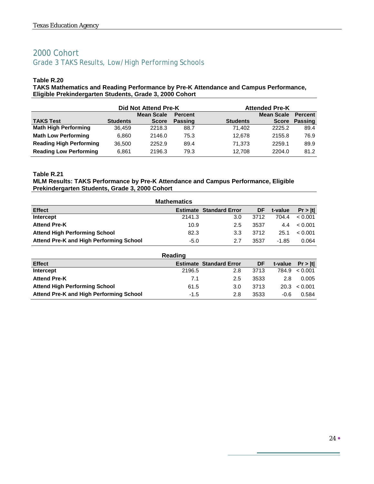# 2000 Cohort Grade 3 TAKS Results, Low/High Performing Schools

#### **Table R.20**

**TAKS Mathematics and Reading Performance by Pre-K Attendance and Campus Performance, Eligible Prekindergarten Students, Grade 3, 2000 Cohort**

|                                | Did Not Attend Pre-K |                   |                | <b>Attended Pre-K</b> |                   |         |
|--------------------------------|----------------------|-------------------|----------------|-----------------------|-------------------|---------|
|                                |                      | <b>Mean Scale</b> | <b>Percent</b> |                       | <b>Mean Scale</b> | Percent |
| <b>TAKS Test</b>               | <b>Students</b>      | <b>Score</b>      | <b>Passing</b> | <b>Students</b>       | <b>Score</b>      | Passing |
| <b>Math High Performing</b>    | 36.459               | 2218.3            | 88.7           | 71.402                | 2225.2            | 89.4    |
| <b>Math Low Performing</b>     | 6,860                | 2146.0            | 75.3           | 12.678                | 2155.8            | 76.9    |
| <b>Reading High Performing</b> | 36.500               | 2252.9            | 89.4           | 71.373                | 2259.1            | 89.9    |
| <b>Reading Low Performing</b>  | 6,861                | 2196.3            | 79.3           | 12.708                | 2204.0            | 81.2    |

#### **Table R.21**

#### **MLM Results: TAKS Performance by Pre-K Attendance and Campus Performance, Eligible Prekindergarten Students, Grade 3, 2000 Cohort**

|                                         | <b>Mathematics</b> |                                |      |         |         |
|-----------------------------------------|--------------------|--------------------------------|------|---------|---------|
| <b>Effect</b>                           |                    | <b>Estimate Standard Error</b> | DF   | t-value | Pr >  t |
| Intercept                               | 2141.3             | 3.0                            | 3712 | 704.4   | < 0.001 |
| <b>Attend Pre-K</b>                     | 10.9               | 2.5                            | 3537 | 4.4     | < 0.001 |
| <b>Attend High Performing School</b>    | 82.3               | 3.3                            | 3712 | 25.1    | < 0.001 |
| Attend Pre-K and High Performing School | $-5.0$             | 2.7                            | 3537 | $-1.85$ | 0.064   |

| <b>Reading</b>                          |        |                                |      |         |                   |  |  |  |
|-----------------------------------------|--------|--------------------------------|------|---------|-------------------|--|--|--|
| <b>Effect</b>                           |        | <b>Estimate Standard Error</b> | DF   | t-value | Pr >  t           |  |  |  |
| Intercept                               | 2196.5 | 2.8                            | 3713 |         | $784.9 \le 0.001$ |  |  |  |
| <b>Attend Pre-K</b>                     | 7.1    | 2.5                            | 3533 | 2.8     | 0.005             |  |  |  |
| <b>Attend High Performing School</b>    | 61.5   | 3.0                            | 3713 | 20.3    | < 0.001           |  |  |  |
| Attend Pre-K and High Performing School | $-1.5$ | 2.8                            | 3533 | $-0.6$  | 0.584             |  |  |  |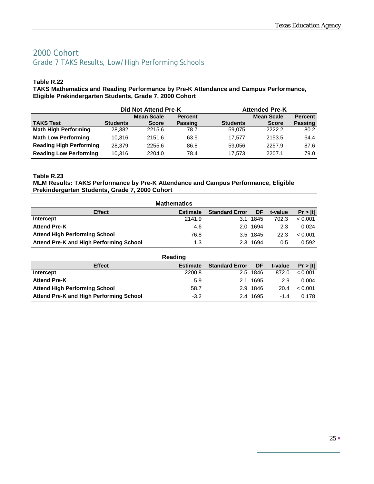### 2000 Cohort Grade 7 TAKS Results, Low/High Performing Schools

#### **Table R.22**

**TAKS Mathematics and Reading Performance by Pre-K Attendance and Campus Performance, Eligible Prekindergarten Students, Grade 7, 2000 Cohort**

|                                | Did Not Attend Pre-K |                   |                |                 | <b>Attended Pre-K</b> |                |  |  |  |
|--------------------------------|----------------------|-------------------|----------------|-----------------|-----------------------|----------------|--|--|--|
|                                |                      | <b>Mean Scale</b> | <b>Percent</b> |                 | <b>Mean Scale</b>     | <b>Percent</b> |  |  |  |
| <b>TAKS Test</b>               | <b>Students</b>      | <b>Score</b>      | <b>Passing</b> | <b>Students</b> | <b>Score</b>          | <b>Passing</b> |  |  |  |
| <b>Math High Performing</b>    | 28.382               | 2215.6            | 78.7           | 59.075          | 2222.2                | 80.2           |  |  |  |
| <b>Math Low Performing</b>     | 10.316               | 2151.6            | 63.9           | 17.577          | 2153.5                | 64.4           |  |  |  |
| <b>Reading High Performing</b> | 28.379               | 2255.6            | 86.8           | 59.056          | 2257.9                | 87.6           |  |  |  |
| <b>Reading Low Performing</b>  | 10.316               | 2204.0            | 78.4           | 17.573          | 2207.1                | 79.0           |  |  |  |

#### **Table R.23**

#### **MLM Results: TAKS Performance by Pre-K Attendance and Campus Performance, Eligible Prekindergarten Students, Grade 7, 2000 Cohort**

| <b>Mathematics</b>                      |                 |                       |          |         |         |  |  |  |  |
|-----------------------------------------|-----------------|-----------------------|----------|---------|---------|--|--|--|--|
| <b>Effect</b>                           | <b>Estimate</b> | <b>Standard Error</b> | DF       | t-value | Pr >  t |  |  |  |  |
| Intercept                               | 2141.9          |                       | 3.1 1845 | 702.3   | < 0.001 |  |  |  |  |
| <b>Attend Pre-K</b>                     | 4.6             |                       | 2.0 1694 | 2.3     | 0.024   |  |  |  |  |
| <b>Attend High Performing School</b>    | 76.8            |                       | 3.5 1845 | 22.3    | < 0.001 |  |  |  |  |
| Attend Pre-K and High Performing School | 1.3             |                       | 2.3 1694 | 0.5     | 0.592   |  |  |  |  |
| <b>Dooding</b>                          |                 |                       |          |         |         |  |  |  |  |

| Reading                                 |                 |                       |          |         |         |  |  |  |
|-----------------------------------------|-----------------|-----------------------|----------|---------|---------|--|--|--|
| <b>Effect</b>                           | <b>Estimate</b> | <b>Standard Error</b> | DF       | t-value | Pr >  t |  |  |  |
| Intercept                               | 2200.8          |                       | 2.5 1846 | 872.0   | < 0.001 |  |  |  |
| <b>Attend Pre-K</b>                     | 5.9             | 2.1.                  | 1695     | 2.9     | 0.004   |  |  |  |
| <b>Attend High Performing School</b>    | 58.7            |                       | 2.9 1846 | 20.4    | < 0.001 |  |  |  |
| Attend Pre-K and High Performing School | $-3.2$          |                       | 2.4 1695 | $-14$   | 0.178   |  |  |  |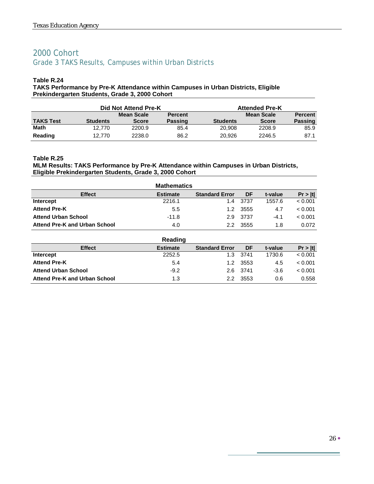# 2000 Cohort Grade 3 TAKS Results, Campuses within Urban Districts

#### **Table R.24**

#### **TAKS Performance by Pre-K Attendance within Campuses in Urban Districts, Eligible Prekindergarten Students, Grade 3, 2000 Cohort**

|                  |                 | Did Not Attend Pre-K |                |                 | <b>Attended Pre-K</b> |                |
|------------------|-----------------|----------------------|----------------|-----------------|-----------------------|----------------|
|                  |                 | Mean Scale           | <b>Percent</b> |                 | Mean Scale            | <b>Percent</b> |
| <b>TAKS Test</b> | <b>Students</b> | <b>Score</b>         | <b>Passing</b> | <b>Students</b> | <b>Score</b>          | <b>Passing</b> |
| <b>Math</b>      | 12.770          | 2200.9               | 85.4           | 20,908          | 2208.9                | 85.9           |
| Reading          | 12.770          | 2238.0               | 86.2           | 20.926          | 2246.5                | 87.1           |

#### **Table R.25**

#### **MLM Results: TAKS Performance by Pre-K Attendance within Campuses in Urban Districts, Eligible Prekindergarten Students, Grade 3, 2000 Cohort**

|                                      | <b>Mathematics</b> |                       |       |         |         |
|--------------------------------------|--------------------|-----------------------|-------|---------|---------|
| <b>Effect</b>                        | <b>Estimate</b>    | <b>Standard Error</b> | DF    | t-value | Pr >  t |
| Intercept                            | 2216.1             | 14                    | -3737 | 1557.6  | < 0.001 |
| <b>Attend Pre-K</b>                  | 5.5                | 1.2                   | 3555  | 4.7     | < 0.001 |
| <b>Attend Urban School</b>           | $-11.8$            | 2.9                   | -3737 | $-4.1$  | < 0.001 |
| <b>Attend Pre-K and Urban School</b> | 4.0                | 22                    | 3555  | 1.8     | 0.072   |

|                                      | Reading         |                       |          |         |         |
|--------------------------------------|-----------------|-----------------------|----------|---------|---------|
| <b>Effect</b>                        | <b>Estimate</b> | <b>Standard Error</b> | DF       | t-value | Pr >  t |
| Intercept                            | 2252.5          | 1.3                   | 3741     | 1730.6  | < 0.001 |
| <b>Attend Pre-K</b>                  | 5.4             | 1.2                   | 3553     | 4.5     | < 0.001 |
| <b>Attend Urban School</b>           | $-9.2$          |                       | 2.6 3741 | $-3.6$  | < 0.001 |
| <b>Attend Pre-K and Urban School</b> | 1.3             | 22                    | 3553     | 0.6     | 0.558   |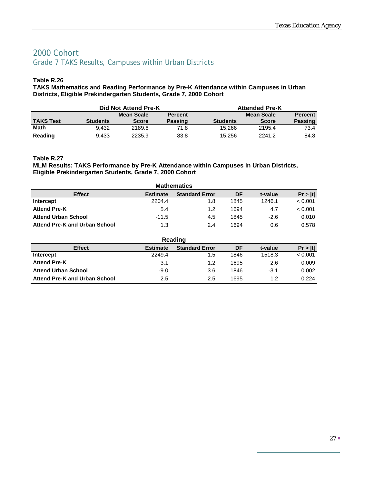### 2000 Cohort Grade 7 TAKS Results, Campuses within Urban Districts

#### **Table R.26**

**TAKS Mathematics and Reading Performance by Pre-K Attendance within Campuses in Urban Districts, Eligible Prekindergarten Students, Grade 7, 2000 Cohort**

|                  | Did Not Attend Pre-K |              |                |                 | <b>Attended Pre-K</b> |                |  |  |
|------------------|----------------------|--------------|----------------|-----------------|-----------------------|----------------|--|--|
|                  |                      | Mean Scale   | <b>Percent</b> |                 | Mean Scale            | <b>Percent</b> |  |  |
| <b>TAKS Test</b> | <b>Students</b>      | <b>Score</b> | <b>Passing</b> | <b>Students</b> | <b>Score</b>          | <b>Passing</b> |  |  |
| Math             | 9.432                | 2189.6       | 71.8           | 15.266          | 2195.4                | 73.4           |  |  |
| Reading          | 9.433                | 2235.9       | 83.8           | 15.256          | 2241.2                | 84.8           |  |  |

#### **Table R.27**

#### **MLM Results: TAKS Performance by Pre-K Attendance within Campuses in Urban Districts, Eligible Prekindergarten Students, Grade 7, 2000 Cohort**

| <b>Mathematics</b>                   |                 |                       |      |         |         |  |  |  |
|--------------------------------------|-----------------|-----------------------|------|---------|---------|--|--|--|
| <b>Effect</b>                        | <b>Estimate</b> | <b>Standard Error</b> | DF   | t-value | Pr >  t |  |  |  |
| Intercept                            | 2204.4          | 1.8                   | 1845 | 1246.1  | < 0.001 |  |  |  |
| <b>Attend Pre-K</b>                  | 5.4             | 1.2                   | 1694 | 4.7     | < 0.001 |  |  |  |
| <b>Attend Urban School</b>           | $-11.5$         | 4.5                   | 1845 | $-2.6$  | 0.010   |  |  |  |
| <b>Attend Pre-K and Urban School</b> | 1.3             | 2.4                   | 1694 | 0.6     | 0.578   |  |  |  |

| Reading                              |                 |                       |      |         |         |  |  |  |
|--------------------------------------|-----------------|-----------------------|------|---------|---------|--|--|--|
| <b>Effect</b>                        | <b>Estimate</b> | <b>Standard Error</b> | DF   | t-value | Pr >  t |  |  |  |
| Intercept                            | 2249.4          | 1.5                   | 1846 | 1518.3  | < 0.001 |  |  |  |
| <b>Attend Pre-K</b>                  | 3.1             | 1.2                   | 1695 | 2.6     | 0.009   |  |  |  |
| <b>Attend Urban School</b>           | $-9.0$          | 3.6                   | 1846 | $-3.1$  | 0.002   |  |  |  |
| <b>Attend Pre-K and Urban School</b> | 2.5             | 2.5                   | 1695 | 1.2     | 0.224   |  |  |  |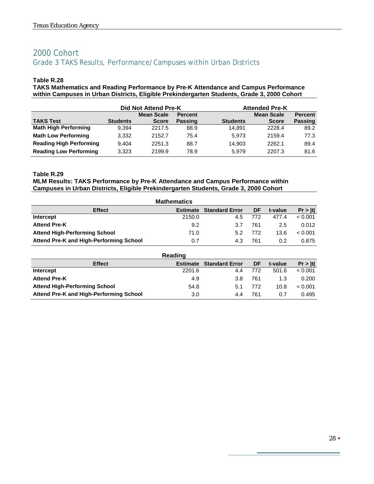### 2000 Cohort Grade 3 TAKS Results, Performance/Campuses within Urban Districts

#### **Table R.28**

**TAKS Mathematics and Reading Performance by Pre-K Attendance and Campus Performance within Campuses in Urban Districts, Eligible Prekindergarten Students, Grade 3, 2000 Cohort**

|                                | Did Not Attend Pre-K |                   |                |                 | <b>Attended Pre-K</b> |                |  |  |
|--------------------------------|----------------------|-------------------|----------------|-----------------|-----------------------|----------------|--|--|
|                                |                      | <b>Mean Scale</b> | <b>Percent</b> |                 | <b>Mean Scale</b>     | <b>Percent</b> |  |  |
| <b>TAKS Test</b>               | <b>Students</b>      | <b>Score</b>      | <b>Passing</b> | <b>Students</b> | <b>Score</b>          | <b>Passing</b> |  |  |
| <b>Math High Performing</b>    | 9.394                | 2217.5            | 88.9           | 14.891          | 2228.4                | 89.2           |  |  |
| <b>Math Low Performing</b>     | 3,332                | 2152.7            | 75.4           | 5.973           | 2159.4                | 77.3           |  |  |
| <b>Reading High Performing</b> | 9.404                | 2251.3            | 88.7           | 14.903          | 2262.1                | 89.4           |  |  |
| <b>Reading Low Performing</b>  | 3.323                | 2199.9            | 78.9           | 5.979           | 2207.3                | 81.6           |  |  |

#### **Table R.29**

#### **MLM Results: TAKS Performance by Pre-K Attendance and Campus Performance within Campuses in Urban Districts, Eligible Prekindergarten Students, Grade 3, 2000 Cohort**

| <b>Mathematics</b>                      |                 |                       |     |         |         |  |  |  |
|-----------------------------------------|-----------------|-----------------------|-----|---------|---------|--|--|--|
| <b>Effect</b>                           | <b>Estimate</b> | <b>Standard Error</b> | DF  | t-value | Pr >  t |  |  |  |
| Intercept                               | 2150.0          | 4.5                   | 772 | 477.4   | < 0.001 |  |  |  |
| <b>Attend Pre-K</b>                     | 9.2             | 3.7                   | 761 | 2.5     | 0.012   |  |  |  |
| <b>Attend High-Performing School</b>    | 71.0            | 5.2                   | 772 | 13.6    | < 0.001 |  |  |  |
| Attend Pre-K and High-Performing School | 0.7             | 4.3                   | 761 | 0.2     | 0.875   |  |  |  |

| Reading                                 |                 |                       |     |         |         |  |  |  |  |
|-----------------------------------------|-----------------|-----------------------|-----|---------|---------|--|--|--|--|
| <b>Effect</b>                           | <b>Estimate</b> | <b>Standard Error</b> | DF  | t-value | Pr >  t |  |  |  |  |
| Intercept                               | 2201.6          | 4.4                   | 772 | 501.6   | < 0.001 |  |  |  |  |
| <b>Attend Pre-K</b>                     | 4.9             | 3.8                   | 761 | 1.3     | 0.200   |  |  |  |  |
| <b>Attend High-Performing School</b>    | 54.8            | 5.1                   | 772 | 10.8    | < 0.001 |  |  |  |  |
| Attend Pre-K and High-Performing School | 3.0             | 4.4                   | 761 | 0.7     | 0.495   |  |  |  |  |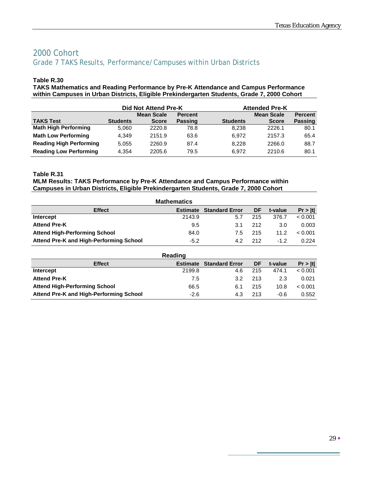### 2000 Cohort Grade 7 TAKS Results, Performance/Campuses within Urban Districts

#### **Table R.30**

**TAKS Mathematics and Reading Performance by Pre-K Attendance and Campus Performance within Campuses in Urban Districts, Eligible Prekindergarten Students, Grade 7, 2000 Cohort**

|                                | Did Not Attend Pre-K |                   |                |                 | <b>Attended Pre-K</b> |                |  |  |
|--------------------------------|----------------------|-------------------|----------------|-----------------|-----------------------|----------------|--|--|
|                                |                      | <b>Mean Scale</b> | <b>Percent</b> |                 | <b>Mean Scale</b>     | <b>Percent</b> |  |  |
| <b>TAKS Test</b>               | <b>Students</b>      | <b>Score</b>      | <b>Passing</b> | <b>Students</b> | <b>Score</b>          | <b>Passing</b> |  |  |
| <b>Math High Performing</b>    | 5,060                | 2220.8            | 78.8           | 8.238           | 2226.1                | 80.1           |  |  |
| <b>Math Low Performing</b>     | 4.349                | 2151.9            | 63.6           | 6.972           | 2157.3                | 65.4           |  |  |
| <b>Reading High Performing</b> | 5.055                | 2260.9            | 87.4           | 8.228           | 2266.0                | 88.7           |  |  |
| <b>Reading Low Performing</b>  | 4.354                | 2205.6            | 79.5           | 6.972           | 2210.6                | 80.1           |  |  |

#### **Table R.31**

#### **MLM Results: TAKS Performance by Pre-K Attendance and Campus Performance within Campuses in Urban Districts, Eligible Prekindergarten Students, Grade 7, 2000 Cohort**

| <b>Mathematics</b>                      |                 |                       |     |                   |         |  |  |  |  |
|-----------------------------------------|-----------------|-----------------------|-----|-------------------|---------|--|--|--|--|
| <b>Effect</b>                           | <b>Estimate</b> | <b>Standard Error</b> | DF  | t-value           | Pr >  t |  |  |  |  |
| Intercept                               | 2143.9          | 5.7                   | 215 | 376.7             | < 0.001 |  |  |  |  |
| <b>Attend Pre-K</b>                     | 9.5             | 3.1                   | 212 | 3.0               | 0.003   |  |  |  |  |
| <b>Attend High-Performing School</b>    | 84.0            | 7.5                   | 215 | 11.2 <sub>2</sub> | < 0.001 |  |  |  |  |
| Attend Pre-K and High-Performing School | $-5.2$          | 42                    | 212 | $-12$             | 0.224   |  |  |  |  |

|                                         | Reading         |                       |     |         |         |
|-----------------------------------------|-----------------|-----------------------|-----|---------|---------|
| <b>Effect</b>                           | <b>Estimate</b> | <b>Standard Error</b> | DF  | t-value | Pr >  t |
| Intercept                               | 2199.8          | 4.6                   | 215 | 474.1   | < 0.001 |
| <b>Attend Pre-K</b>                     | 7.5             | 3.2                   | 213 | 2.3     | 0.021   |
| <b>Attend High-Performing School</b>    | 66.5            | 6.1                   | 215 | 10.8    | < 0.001 |
| Attend Pre-K and High-Performing School | $-2.6$          | 4.3                   | 213 | $-0.6$  | 0.552   |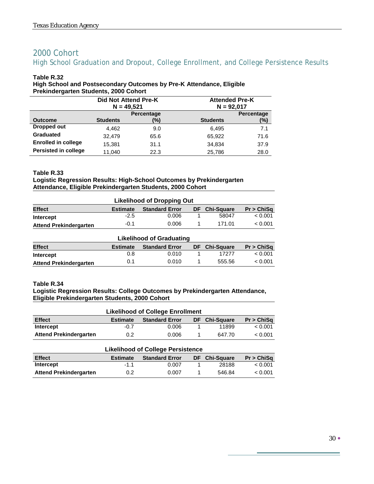### 2000 Cohort High School Graduation and Dropout, College Enrollment, and College Persistence Results

#### **Table R.32**

#### **High School and Postsecondary Outcomes by Pre-K Attendance, Eligible Prekindergarten Students, 2000 Cohort**

|                             | Did Not Attend Pre-K |            |                 | <b>Attended Pre-K</b> |  |  |
|-----------------------------|----------------------|------------|-----------------|-----------------------|--|--|
|                             | $N = 49,521$         |            |                 | $N = 92,017$          |  |  |
|                             |                      | Percentage |                 | Percentage            |  |  |
| <b>Outcome</b>              | <b>Students</b>      | (%)        | <b>Students</b> | (%)                   |  |  |
| Dropped out                 | 4,462                | 9.0        | 6.495           | 7.1                   |  |  |
| <b>Graduated</b>            | 32.479               | 65.6       | 65.922          | 71.6                  |  |  |
| <b>Enrolled in college</b>  | 15,381               | 31.1       | 34,834          | 37.9                  |  |  |
| <b>Persisted in college</b> | 11.040               | 22.3       | 25.786          | 28.0                  |  |  |

#### **Table R.33**

#### **Logistic Regression Results: High-School Outcomes by Prekindergarten Attendance, Eligible Prekindergarten Students, 2000 Cohort**

| <b>Likelihood of Dropping Out</b>                                                                  |        |         |  |       |         |  |  |
|----------------------------------------------------------------------------------------------------|--------|---------|--|-------|---------|--|--|
| <b>Effect</b><br><b>Chi-Sauare</b><br>Pr > ChiSa<br><b>Standard Error</b><br>DF<br><b>Estimate</b> |        |         |  |       |         |  |  |
| Intercept                                                                                          | $-2.5$ | 0.006   |  | 58047 | < 0.001 |  |  |
| <b>Attend Prekindergarten</b>                                                                      | 171 01 | < 0.001 |  |       |         |  |  |

#### **Likelihood of Graduating Effect Estimate Standard Error DF Chi-Square Pr > ChiSq Intercept** 0.8 0.010 1 17277 < 0.001 Attend Prekindergarten 0.1 0.010 1 555.56 < 0.001

#### **Table R.34**

#### **Logistic Regression Results: College Outcomes by Prekindergarten Attendance, Eligible Prekindergarten Students, 2000 Cohort**

| <b>Likelihood of College Enrollment</b>                                                  |        |       |  |        |         |  |  |
|------------------------------------------------------------------------------------------|--------|-------|--|--------|---------|--|--|
| <b>Effect</b><br><b>Standard Error</b><br>DF Chi-Square<br>Pr > ChiSq<br><b>Estimate</b> |        |       |  |        |         |  |  |
| Intercept                                                                                | $-0.7$ | 0.006 |  | 11899  | < 0.001 |  |  |
| <b>Attend Prekindergarten</b>                                                            | 0.2    | 0.006 |  | 647.70 | < 0.001 |  |  |

| <b>Likelihood of College Persistence</b>                                                            |        |       |  |        |         |  |  |
|-----------------------------------------------------------------------------------------------------|--------|-------|--|--------|---------|--|--|
| <b>Effect</b><br><b>Chi-Square</b><br>Pr > ChiSa<br><b>Standard Error</b><br>DF.<br><b>Estimate</b> |        |       |  |        |         |  |  |
| Intercept                                                                                           | $-1.1$ | 0.007 |  | 28188  | < 0.001 |  |  |
| <b>Attend Prekindergarten</b>                                                                       | 0.2    | 0.007 |  | 546.84 | < 0.001 |  |  |